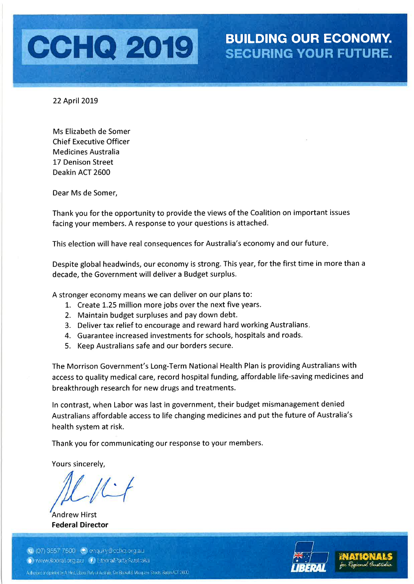

22 April 2019

Ms Elizabeth de Somer **Chief Executive Officer Medicines Australia** 17 Denison Street Deakin ACT 2600

Dear Ms de Somer,

Thank you for the opportunity to provide the views of the Coalition on important issues facing your members. A response to your questions is attached.

This election will have real consequences for Australia's economy and our future.

Despite global headwinds, our economy is strong. This year, for the first time in more than a decade, the Government will deliver a Budget surplus.

A stronger economy means we can deliver on our plans to:

- 1. Create 1.25 million more jobs over the next five years.
- 2. Maintain budget surpluses and pay down debt.
- 3. Deliver tax relief to encourage and reward hard working Australians.
- 4. Guarantee increased investments for schools, hospitals and roads.
- 5. Keep Australians safe and our borders secure.

The Morrison Government's Long-Term National Health Plan is providing Australians with access to quality medical care, record hospital funding, affordable life-saving medicines and breakthrough research for new drugs and treatments.

In contrast, when Labor was last in government, their budget mismanagement denied Australians affordable access to life changing medicines and put the future of Australia's health system at risk.

Thank you for communicating our response to your members.

Yours sincerely.

**Andrew Hirst Federal Director** 



C (07) 3557 7500 @ enquiry@cchq.org.au O www.iberal.org.au (1 LiberalPartyAustralia Autorization prints thy A. Hist, Liberal Pally, d'Australia, Civ. Blaskall & Macquare, Streets, Burlan ACT 2600,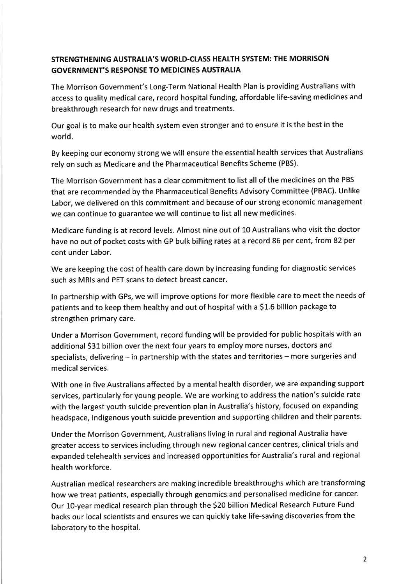# STRENGTHENING AUSTRALIA'S WORLD-CIASS HEALTH SYSTEM: THE MORRISON GOVERNMENT'S RESPONSE TO MEDICINES AUSTRALIA

The Morrison Government's Long-Term National Health Plan is providing Australians with access to quality medical care, record hospital funding, affordable life-saving medicines and breakthrough research for new drugs and treatments.

Our goal is to make our health system even stronger and to ensure it is the best in the world.

By keeping our economy strong we will ensure the essential health services that Australians rely on such as Medicare and the Pharmaceutical Benefits Scheme (PBS).

The Morrison Government has a clear commitment to list all of the medicines on the PBS that are recommended by the Pharmaceutical Benefits Advisory Committee (PBAC). Unlike Labor, we delivered on this commitment and because of our strong economic management we can continue to guarantee we will continue to list all new medicines.

Medicare funding is at record levels. Almost nine out of 10 Australians who visit the doctor have no out of pocket costs with GP bulk billing rates at a record 86 per cent, from 82 per cent under Labor.

We are keeping the cost of health care down by increasing funding for diagnostic services such as MRls and PET scans to detect breast cancer.

ln partnership with GPs, we will improve options for more flexible care to meet the needs of patients and to keep them healthy and out of hospital with a \$1.6 billion package to strengthen primary care.

Under a Morrison Government, record funding will be provided for public hospitals with an additional \$31 billion over the next four years to employ more nurses, doctors and specialists, delivering - in partnership with the states and territories - more surgeries and medical services.

With one in five Australians affected by a mental health disorder, we are expanding support services, particularly for young people. We are working to address the nation's suicide rate with the largest youth suicide prevention plan in Australia's history, focused on expanding headspace, lndigenous youth suicide prevention and supporting children and their parents.

Under the Morrison Government, Australians living in rural and regional Australia have greater access to services including through new regional cancer centres, clinical trials and expanded telehealth services and increased opportunities for Australia's rural and regional health workforce.

Australian medical researchers are making incredible breakthroughs which are transforming how we treat patients, especially through genomics and personalised medicine for cancer. Our 10-year medical research plan through the \$20 billion Medical Research Future Fund backs our local scientists and ensures we can quickly take life-saving discoveries from the laboratory to the hospital.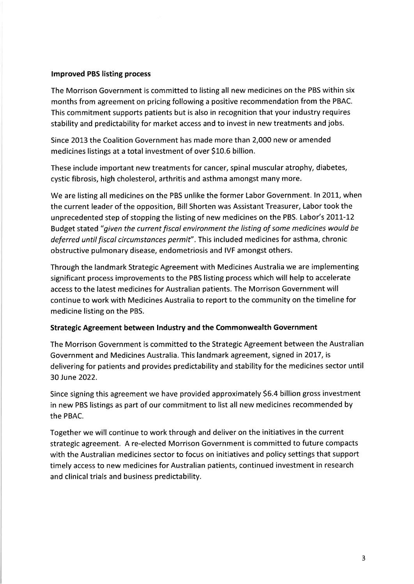#### lmproved PBS listing process

The Morrison Government is committed to listing all new medicines on the PBS within six months from agreement on pricing following a positive recommendation from the PBAC. This commitment supports patients but is also in recognition that your industry requires stability and predictability for market access and to invest in new treatments and jobs.

Since 2013 the Coalition Government has made more than Z,OOO new or amended medicines listings at a total investment of over S10.6 billion.

These include important new treatments for cancer, spinal muscular atrophy, diabetes, cystic fibrosis, high cholesterol, arthritis and asthma amongst many more.

We are listing all medicines on the PBS unlike the former Labor Government. In 2011, when the current leader of the opposition, Bill Shorten was Assistant Treasurer, Labor took the unprecedented step of stopping the listing of new medicines on the PBS. Labor's 2011-12 Budget stated "given the current fiscal environment the listing of some medicines would be deferred until fiscal circumstances permit". This included medicines for asthma, chronic obstructive pulmonary disease, endometriosis and IVF amongst others.

Through the landmark Strategic Agreement with Medicines Australia we are implementing significant process improvements to the PBS listing process which will help to accelerate access to the latest medicines for Australian patients. The Morrison Government will continue to work with Medicines Australia to report to the community on the timeline for medicine listing on the PBS.

#### Strategic Agreement between lndustry and the Commonwealth Government

The Morrison Government is committed to the Strategic Agreement between the Australian Government and Medicines Australia. This landmark agreement, signed in 2OI7 , is delivering for patients and provides predictability and stability for the medicines sector until 30 June 2022.

Since signing this agreement we have provided approximately 56.4 billion gross investment in new PBS listings as part of our commitment to list all new medicines recommended by the PBAC.

Together we will continue to work through and deliver on the initiatives in the current strategic agreement. A re-elected Morrison Government is committed to future compacts with the Australian medicines sector to focus on initiatives and policy settings that support timely access to new medicines for Australian patients, continued investment in research and clinical trials and business predictability.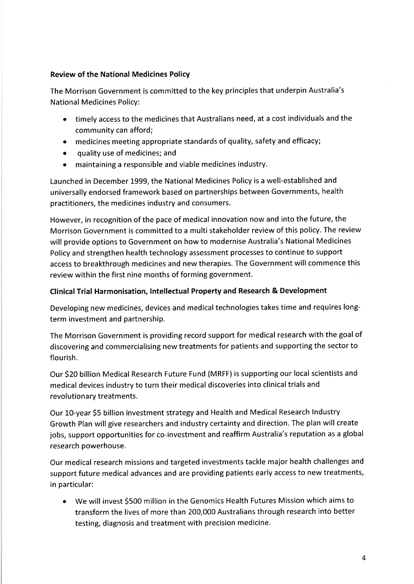## Review of the National Medicines Policy

The Morrison Government is committed to the key principles that underpin Australia's National Medicines Policy:

- timely access to the medicines that Australians need, at a cost individuals and the community can afford;
- medicines meeting appropriate standards of quality, safety and efficacy;
- o quality use of medicines; and
- o maintaining a responsible and viable medicines industry.

Launched in December 1999, the National Medicines Policy is a well-established and universally endorsed framework based on partnerships between Governments, health practitioners, the medicines industry and consumers.

However, in recognition of the pace of medical innovation now and into the future, the Morrison Government is committed to a multi stakeholder review of this policy. The review will provide options to Government on how to modernise Australia's National Medicines Policy and strengthen health technology assessment processes to continue to support access to breakthrough medicines and new therapies. The Government will commence this review within the first nine months of forming government.

## Clinical Trial Harmonisation, Intellectual Property and Research & Development

Developing new medicines, devices and medical technologies takes time and requires longterm investment and partnership.

The Morrison Government is providing record support for medical research with the goal of discovering and commercialising new treatments for patients and supporting the sector to flourish.

Our S20 billion Medical Research Future Fund (MRFF) is supporting our local scientists and medical devices industry to turn their medical discoveries into clinical trials and revolutionary treatments.

Our 10-year \$5 billion investment strategy and Health and Medical Research Industry Growth Plan will give researchers and industry certainty and direction. The plan will create jobs, support opportunities for co-investment and reaffirm Australia's reputation as a global research powerhouse.

Our medical research missions and targeted investments tackle major health challenges and support future medical advances and are providing patients early access to new treatments, in particular:

o We will invest 5500 million in the Genomics Health Futures Mission which aims to transform the lives of more than 200,000 Australians through research into better testing, diagnosis and treatment with precision medicine.